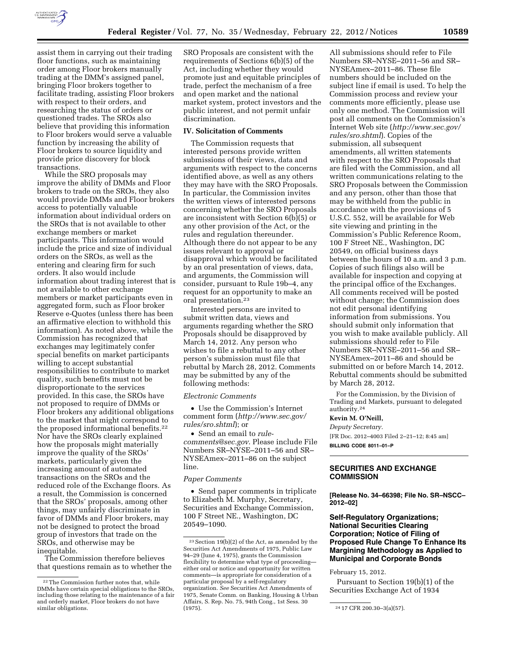

assist them in carrying out their trading floor functions, such as maintaining order among Floor brokers manually trading at the DMM's assigned panel, bringing Floor brokers together to facilitate trading, assisting Floor brokers with respect to their orders, and researching the status of orders or questioned trades. The SROs also believe that providing this information to Floor brokers would serve a valuable function by increasing the ability of Floor brokers to source liquidity and provide price discovery for block transactions.

While the SRO proposals may improve the ability of DMMs and Floor brokers to trade on the SROs, they also would provide DMMs and Floor brokers access to potentially valuable information about individual orders on the SROs that is not available to other exchange members or market participants. This information would include the price and size of individual orders on the SROs, as well as the entering and clearing firm for such orders. It also would include information about trading interest that is not available to other exchange members or market participants even in aggregated form, such as Floor broker Reserve e-Quotes (unless there has been an affirmative election to withhold this information). As noted above, while the Commission has recognized that exchanges may legitimately confer special benefits on market participants willing to accept substantial responsibilities to contribute to market quality, such benefits must not be disproportionate to the services provided. In this case, the SROs have not proposed to require of DMMs or Floor brokers any additional obligations to the market that might correspond to the proposed informational benefits.22 Nor have the SROs clearly explained how the proposals might materially improve the quality of the SROs' markets, particularly given the increasing amount of automated transactions on the SROs and the reduced role of the Exchange floors. As a result, the Commission is concerned that the SROs' proposals, among other things, may unfairly discriminate in favor of DMMs and Floor brokers, may not be designed to protect the broad group of investors that trade on the SROs, and otherwise may be inequitable.

The Commission therefore believes that questions remain as to whether the

SRO Proposals are consistent with the requirements of Sections 6(b)(5) of the Act, including whether they would promote just and equitable principles of trade, perfect the mechanism of a free and open market and the national market system, protect investors and the public interest, and not permit unfair discrimination.

# **IV. Solicitation of Comments**

The Commission requests that interested persons provide written submissions of their views, data and arguments with respect to the concerns identified above, as well as any others they may have with the SRO Proposals. In particular, the Commission invites the written views of interested persons concerning whether the SRO Proposals are inconsistent with Section 6(b)(5) or any other provision of the Act, or the rules and regulation thereunder. Although there do not appear to be any issues relevant to approval or disapproval which would be facilitated by an oral presentation of views, data, and arguments, the Commission will consider, pursuant to Rule 19b–4, any request for an opportunity to make an oral presentation.23

Interested persons are invited to submit written data, views and arguments regarding whether the SRO Proposals should be disapproved by March 14, 2012. Any person who wishes to file a rebuttal to any other person's submission must file that rebuttal by March 28, 2012. Comments may be submitted by any of the following methods:

#### *Electronic Comments*

• Use the Commission's Internet comment form (*[http://www.sec.gov/](http://www.sec.gov/rules/sro.shtml)  [rules/sro.shtml](http://www.sec.gov/rules/sro.shtml)*); or

• Send an email to *[rule](mailto:rule-comments@sec.gov)[comments@sec.gov](mailto:rule-comments@sec.gov)*. Please include File Numbers SR–NYSE–2011–56 and SR– NYSEAmex–2011–86 on the subject line.

#### *Paper Comments*

• Send paper comments in triplicate to Elizabeth M. Murphy, Secretary, Securities and Exchange Commission, 100 F Street NE., Washington, DC 20549–1090.

All submissions should refer to File Numbers SR–NYSE–2011–56 and SR– NYSEAmex–2011–86. These file numbers should be included on the subject line if email is used. To help the Commission process and review your comments more efficiently, please use only one method. The Commission will post all comments on the Commission's Internet Web site (*[http://www.sec.gov/](http://www.sec.gov/rules/sro.shtml)  [rules/sro.shtml](http://www.sec.gov/rules/sro.shtml)*). Copies of the submission, all subsequent amendments, all written statements with respect to the SRO Proposals that are filed with the Commission, and all written communications relating to the SRO Proposals between the Commission and any person, other than those that may be withheld from the public in accordance with the provisions of 5 U.S.C. 552, will be available for Web site viewing and printing in the Commission's Public Reference Room, 100 F Street NE., Washington, DC 20549, on official business days between the hours of 10 a.m. and 3 p.m. Copies of such filings also will be available for inspection and copying at the principal office of the Exchanges. All comments received will be posted without change; the Commission does not edit personal identifying information from submissions. You should submit only information that you wish to make available publicly. All submissions should refer to File Numbers SR–NYSE–2011–56 and SR– NYSEAmex–2011–86 and should be submitted on or before March 14, 2012. Rebuttal comments should be submitted by March 28, 2012.

For the Commission, by the Division of Trading and Markets, pursuant to delegated authority.24

#### **Kevin M. O'Neill,**

*Deputy Secretary.* 

[FR Doc. 2012–4003 Filed 2–21–12; 8:45 am] **BILLING CODE 8011–01–P** 

## **SECURITIES AND EXCHANGE COMMISSION**

**[Release No. 34–66398; File No. SR–NSCC– 2012–02]** 

## **Self-Regulatory Organizations; National Securities Clearing Corporation; Notice of Filing of Proposed Rule Change To Enhance Its Margining Methodology as Applied to Municipal and Corporate Bonds**

February 15, 2012.

Pursuant to Section 19(b)(1) of the Securities Exchange Act of 1934

<sup>22</sup>The Commission further notes that, while DMMs have certain special obligations to the SROs, including those relating to the maintenance of a fair and orderly market, Floor brokers do not have similar obligations.

<sup>23</sup>Section 19(b)(2) of the Act, as amended by the Securities Act Amendments of 1975, Public Law 94–29 (June 4, 1975), grants the Commission flexibility to determine what type of proceeding either oral or notice and opportunity for written comments—is appropriate for consideration of a particular proposal by a self-regulatory organization. *See* Securities Act Amendments of 1975, Senate Comm. on Banking, Housing & Urban Affairs, S. Rep. No. 75, 94th Cong., 1st Sess. 30  $(1975)$ .  $24\ 17 \text{ CFR } 200.30 - 3 \text{(a)} (57)$ .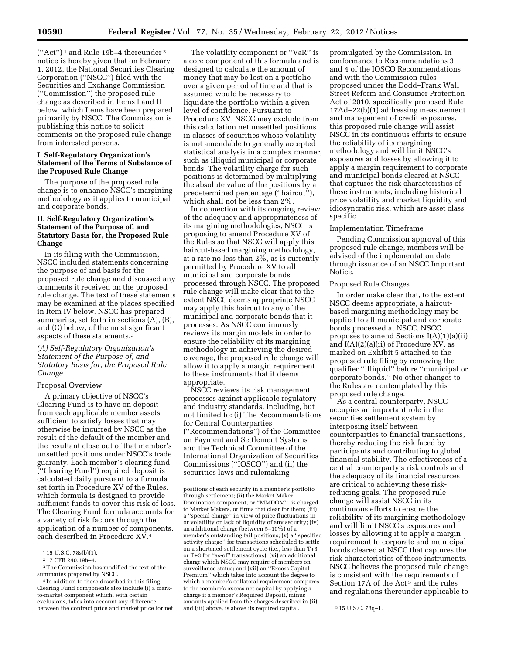(''Act'') 1 and Rule 19b–4 thereunder 2 notice is hereby given that on February 1, 2012, the National Securities Clearing Corporation (''NSCC'') filed with the Securities and Exchange Commission (''Commission'') the proposed rule change as described in Items I and II below, which Items have been prepared primarily by NSCC. The Commission is publishing this notice to solicit comments on the proposed rule change from interested persons.

## **I. Self-Regulatory Organization's Statement of the Terms of Substance of the Proposed Rule Change**

The purpose of the proposed rule change is to enhance NSCC's margining methodology as it applies to municipal and corporate bonds.

### **II. Self-Regulatory Organization's Statement of the Purpose of, and Statutory Basis for, the Proposed Rule Change**

In its filing with the Commission, NSCC included statements concerning the purpose of and basis for the proposed rule change and discussed any comments it received on the proposed rule change. The text of these statements may be examined at the places specified in Item IV below. NSCC has prepared summaries, set forth in sections (A), (B), and (C) below, of the most significant aspects of these statements.3

## *(A) Self-Regulatory Organization's Statement of the Purpose of, and Statutory Basis for, the Proposed Rule Change*

#### Proposal Overview

A primary objective of NSCC's Clearing Fund is to have on deposit from each applicable member assets sufficient to satisfy losses that may otherwise be incurred by NSCC as the result of the default of the member and the resultant close out of that member's unsettled positions under NSCC's trade guaranty. Each member's clearing fund (''Clearing Fund'') required deposit is calculated daily pursuant to a formula set forth in Procedure XV of the Rules, which formula is designed to provide sufficient funds to cover this risk of loss. The Clearing Fund formula accounts for a variety of risk factors through the application of a number of components, each described in Procedure XV.4

The volatility component or ''VaR'' is a core component of this formula and is designed to calculate the amount of money that may be lost on a portfolio over a given period of time and that is assumed would be necessary to liquidate the portfolio within a given level of confidence. Pursuant to Procedure XV, NSCC may exclude from this calculation net unsettled positions in classes of securities whose volatility is not amendable to generally accepted statistical analysis in a complex manner, such as illiquid municipal or corporate bonds. The volatility charge for such positions is determined by multiplying the absolute value of the positions by a predetermined percentage (''haircut''), which shall not be less than 2%.

In connection with its ongoing review of the adequacy and appropriateness of its margining methodologies, NSCC is proposing to amend Procedure XV of the Rules so that NSCC will apply this haircut-based margining methodology, at a rate no less than 2%, as is currently permitted by Procedure XV to all municipal and corporate bonds processed through NSCC. The proposed rule change will make clear that to the extent NSCC deems appropriate NSCC may apply this haircut to any of the municipal and corporate bonds that it processes. As NSCC continuously reviews its margin models in order to ensure the reliability of its margining methodology in achieving the desired coverage, the proposed rule change will allow it to apply a margin requirement to these instruments that it deems appropriate.

NSCC reviews its risk management processes against applicable regulatory and industry standards, including, but not limited to: (i) The Recommendations for Central Counterparties (''Recommendations'') of the Committee on Payment and Settlement Systems and the Technical Committee of the International Organization of Securities Commissions (''IOSCO'') and (ii) the securities laws and rulemaking

promulgated by the Commission. In conformance to Recommendations 3 and 4 of the IOSCO Recommendations and with the Commission rules proposed under the Dodd–Frank Wall Street Reform and Consumer Protection Act of 2010, specifically proposed Rule 17Ad–22(b)(1) addressing measurement and management of credit exposures, this proposed rule change will assist NSCC in its continuous efforts to ensure the reliability of its margining methodology and will limit NSCC's exposures and losses by allowing it to apply a margin requirement to corporate and municipal bonds cleared at NSCC that captures the risk characteristics of these instruments, including historical price volatility and market liquidity and idiosyncratic risk, which are asset class specific.

### Implementation Timeframe

Pending Commission approval of this proposed rule change, members will be advised of the implementation date through issuance of an NSCC Important Notice.

## Proposed Rule Changes

In order make clear that, to the extent NSCC deems appropriate, a haircutbased margining methodology may be applied to all municipal and corporate bonds processed at NSCC, NSCC proposes to amend Sections I(A)(1)(a)(ii) and I(A)(2)(a)(ii) of Procedure XV, as marked on Exhibit 5 attached to the proposed rule filing by removing the qualifier ''illiquid'' before ''municipal or corporate bonds.'' No other changes to the Rules are contemplated by this proposed rule change.

As a central counterparty, NSCC occupies an important role in the securities settlement system by interposing itself between counterparties to financial transactions, thereby reducing the risk faced by participants and contributing to global financial stability. The effectiveness of a central counterparty's risk controls and the adequacy of its financial resources are critical to achieving these riskreducing goals. The proposed rule change will assist NSCC in its continuous efforts to ensure the reliability of its margining methodology and will limit NSCC's exposures and losses by allowing it to apply a margin requirement to corporate and municipal bonds cleared at NSCC that captures the risk characteristics of these instruments. NSCC believes the proposed rule change is consistent with the requirements of Section 17A of the Act 5 and the rules and regulations thereunder applicable to

<sup>1</sup> 15 U.S.C. 78s(b)(1).

<sup>2</sup> 17 CFR 240.19b–4.

<sup>3</sup>The Commission has modified the text of the summaries prepared by NSCC.

<sup>&</sup>lt;sup>4</sup> In addition to those described in this filing, Clearing Fund components also include (i) a markto-market component which, with certain exclusions, takes into account any difference between the contract price and market price for net

positions of each security in a member's portfolio through settlement; (ii) the Market Maker Domination component, or ''MMDOM'', is charged to Market Makers, or firms that clear for them; (iii) a ''special charge'' in view of price fluctuations in or volatility or lack of liquidity of any security; (iv) an additional charge (between 5–10%) of a member's outstanding fail positions; (v) a ''specified activity charge'' for transactions scheduled to settle on a shortened settlement cycle (i.e., less than T+3 or T+3 for ''as-of'' transactions); (vi) an additional charge which NSCC may require of members on surveillance status; and (vii) an ''Excess Capital Premium'' which takes into account the degree to which a member's collateral requirement compares to the member's excess net capital by applying a charge if a member's Required Deposit, minus amounts applied from the charges described in (ii) and (iii) above, is above its required capital.  $\frac{5 \text{ 15 U.S.C. } 78q-1.}{2}$